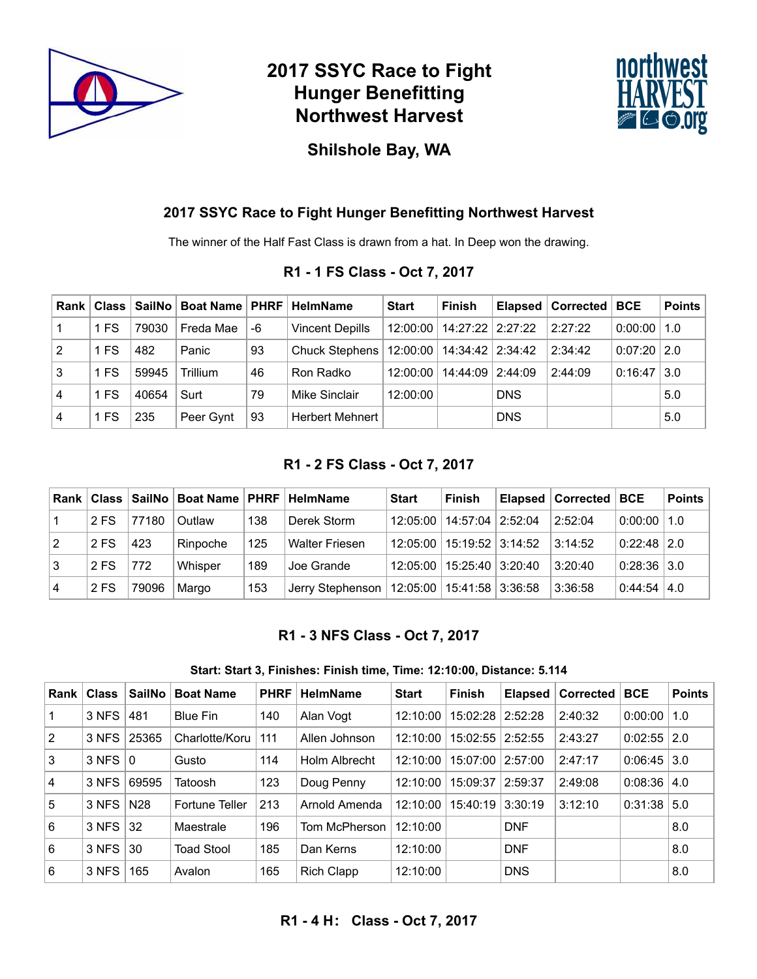

# **2017 SSYC Race to Fight Hunger Benefitting Northwest Harvest**



### **Shilshole Bay, WA**

#### **2017 SSYC Race to Fight Hunger Benefitting Northwest Harvest**

The winner of the Half Fast Class is drawn from a hat. In Deep won the drawing.

#### **R1 - 1 FS Class - Oct 7, 2017**

| Rank           |      |       | Class   SailNo   Boat Name   PHRF |    | HelmName                                       | <b>Start</b> | <b>Finish</b>      |            | Elapsed   Corrected | <b>BCE</b>      | <b>Points</b>     |
|----------------|------|-------|-----------------------------------|----|------------------------------------------------|--------------|--------------------|------------|---------------------|-----------------|-------------------|
|                | 1 FS | 79030 | Freda Mae                         | -6 | <b>Vincent Depills</b>                         | 12:00:00     | 14:27:22 2:27:22   |            | 2:27:22             | $0:00:00$   1.0 |                   |
| $\overline{2}$ | 1 FS | 482   | Panic                             | 93 | Chuck Stephens   12:00:00   14:34:42   2:34:42 |              |                    |            | 2:34:42             | $0:07:20$ 2.0   |                   |
| 3              | 1 FS | 59945 | Trillium                          | 46 | Ron Radko                                      | 12:00:00     | 14:44:09   2:44:09 |            | 2:44:09             | 0:16:47         | $\vert 3.0 \vert$ |
| $\overline{4}$ | 1 FS | 40654 | Surt                              | 79 | Mike Sinclair                                  | 12:00:00     |                    | <b>DNS</b> |                     |                 | 5.0               |
| 4              | 1 FS | 235   | Peer Gynt                         | 93 | <b>Herbert Mehnert</b>                         |              |                    | <b>DNS</b> |                     |                 | 5.0               |

#### **R1 - 2 FS Class - Oct 7, 2017**

| Rank           |      |       | Class   SailNo   Boat Name   PHRF |     | <b>HelmName</b>                                  | <b>Start</b> | <b>Finish</b>      | Elapsed   Corrected   BCE |                    | <b>Points</b> |
|----------------|------|-------|-----------------------------------|-----|--------------------------------------------------|--------------|--------------------|---------------------------|--------------------|---------------|
|                | 2 FS | 77180 | Outlaw                            | 138 | Derek Storm                                      | 12:05:00     | 14:57:04 2:52:04   | 2:52:04                   | $0:00:00$   1.0    |               |
| $\overline{2}$ | 2 FS | 423   | Rinpoche                          | 125 | <b>Walter Friesen</b>                            | 12:05:00     | 15:19:52   3:14:52 | 3:14:52                   | $0.22:48$ 2.0      |               |
| Ι3             | 2 FS | 772   | Whisper                           | 189 | Joe Grande                                       | 12:05:00     | 15:25:40 3:20:40   | 3:20:40                   | $0:28:36$ 3.0      |               |
| $\overline{4}$ | 2 FS | 79096 | Margo                             | 153 | Jerry Stephenson   12:05:00   15:41:58   3:36:58 |              |                    | 3:36:58                   | $0.44:54 \mid 4.0$ |               |

### **R1 - 3 NFS Class - Oct 7, 2017**

#### **Start: Start 3, Finishes: Finish time, Time: 12:10:00, Distance: 5.114**

| <b>Rank</b>    | <b>Class</b>      | <b>SailNo</b>   | <b>Boat Name</b>  | <b>PHRF</b> | <b>HelmName</b>   | <b>Start</b> | <b>Finish</b>        | Elapsed    | <b>Corrected</b> | <b>BCE</b>         | <b>Points</b> |
|----------------|-------------------|-----------------|-------------------|-------------|-------------------|--------------|----------------------|------------|------------------|--------------------|---------------|
|                | 3 NFS             | 481             | Blue Fin          | 140         | Alan Vogt         | 12:10:00     | 15:02:28             | 2:52:28    | 2:40:32          | 0:00:00            | 1.0           |
| 2              | 3 NFS             | 25365           | Charlotte/Koru    | 111         | Allen Johnson     | 12:10:00     | $15:02:55$   2:52:55 |            | 2:43:27          | $0:02:55$   2.0    |               |
| 3              | $3$ NFS $\vert$ 0 |                 | Gusto             | 114         | Holm Albrecht     | 12:10:00     | 15:07:00             | 2:57:00    | 2:47:17          | $0:06:45$ 3.0      |               |
| $\overline{4}$ | 3 NFS             | 69595           | Tatoosh           | 123         | Doug Penny        | 12:10:00     | 15:09:37             | 2:59:37    | 2:49:08          | $0:08:36 \mid 4.0$ |               |
| 5              | 3 NFS             | N <sub>28</sub> | Fortune Teller    | 213         | Arnold Amenda     | 12:10:00     | 15:40:19             | 3:30:19    | 3:12:10          | 0:31:38            | 5.0           |
| 6              | 3 NFS             | 32              | Maestrale         | 196         | Tom McPherson     | 12:10:00     |                      | <b>DNF</b> |                  |                    | 8.0           |
| 6              | 3 NFS             | 30              | <b>Toad Stool</b> | 185         | Dan Kerns         | 12:10:00     |                      | <b>DNF</b> |                  |                    | 8.0           |
| 6              | 3 NFS             | 165             | Avalon            | 165         | <b>Rich Clapp</b> | 12:10:00     |                      | <b>DNS</b> |                  |                    | 8.0           |